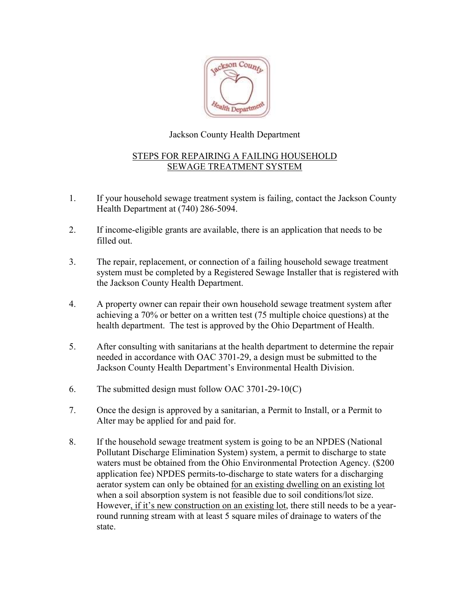

## Jackson County Health Department

## STEPS FOR REPAIRING A FAILING HOUSEHOLD SEWAGE TREATMENT SYSTEM

- 1. If your household sewage treatment system is failing, contact the Jackson County Health Department at (740) 286-5094.
- 2. If income-eligible grants are available, there is an application that needs to be filled out.
- 3. The repair, replacement, or connection of a failing household sewage treatment system must be completed by a Registered Sewage Installer that is registered with the Jackson County Health Department.
- 4. A property owner can repair their own household sewage treatment system after achieving a 70% or better on a written test (75 multiple choice questions) at the health department. The test is approved by the Ohio Department of Health.
- 5. After consulting with sanitarians at the health department to determine the repair needed in accordance with OAC 3701-29, a design must be submitted to the Jackson County Health Department's Environmental Health Division.
- 6. The submitted design must follow OAC 3701-29-10(C)
- 7. Once the design is approved by a sanitarian, a Permit to Install, or a Permit to Alter may be applied for and paid for.
- 8. If the household sewage treatment system is going to be an NPDES (National Pollutant Discharge Elimination System) system, a permit to discharge to state waters must be obtained from the Ohio Environmental Protection Agency. (\$200 application fee) NPDES permits-to-discharge to state waters for a discharging aerator system can only be obtained for an existing dwelling on an existing lot when a soil absorption system is not feasible due to soil conditions/lot size. However, if it's new construction on an existing lot, there still needs to be a year round running stream with at least 5 square miles of drainage to waters of the state.